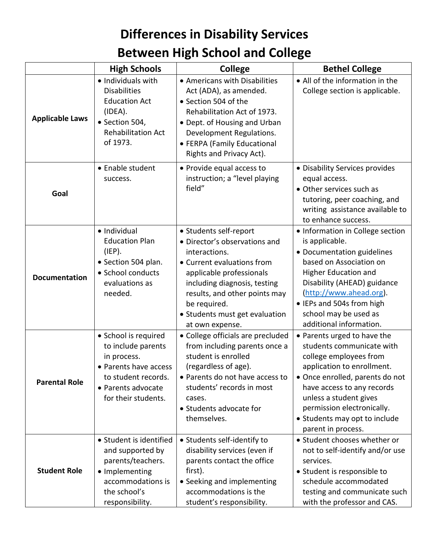## **Differences in Disability Services Between High School and College**

|                        | <b>High Schools</b>                                                                                                                                    | <b>College</b>                                                                                                                                                                                                                                                           | <b>Bethel College</b>                                                                                                                                                                                                                                                                            |
|------------------------|--------------------------------------------------------------------------------------------------------------------------------------------------------|--------------------------------------------------------------------------------------------------------------------------------------------------------------------------------------------------------------------------------------------------------------------------|--------------------------------------------------------------------------------------------------------------------------------------------------------------------------------------------------------------------------------------------------------------------------------------------------|
| <b>Applicable Laws</b> | • Individuals with<br><b>Disabilities</b><br><b>Education Act</b><br>(IDEA).<br>· Section 504,<br><b>Rehabilitation Act</b><br>of 1973.                | • Americans with Disabilities<br>Act (ADA), as amended.<br>• Section 504 of the<br>Rehabilitation Act of 1973.<br>• Dept. of Housing and Urban<br>Development Regulations.<br>• FERPA (Family Educational<br>Rights and Privacy Act).                                    | • All of the information in the<br>College section is applicable.                                                                                                                                                                                                                                |
| Goal                   | • Enable student<br>success.                                                                                                                           | • Provide equal access to<br>instruction; a "level playing<br>field"                                                                                                                                                                                                     | • Disability Services provides<br>equal access.<br>• Other services such as<br>tutoring, peer coaching, and<br>writing assistance available to<br>to enhance success.                                                                                                                            |
| <b>Documentation</b>   | · Individual<br><b>Education Plan</b><br>(IEP).<br>· Section 504 plan.<br>• School conducts<br>evaluations as<br>needed.                               | • Students self-report<br>· Director's observations and<br>interactions.<br>• Current evaluations from<br>applicable professionals<br>including diagnosis, testing<br>results, and other points may<br>be required.<br>• Students must get evaluation<br>at own expense. | • Information in College section<br>is applicable.<br>• Documentation guidelines<br>based on Association on<br>Higher Education and<br>Disability (AHEAD) guidance<br>(http://www.ahead.org).<br>• IEPs and 504s from high<br>school may be used as<br>additional information.                   |
| <b>Parental Role</b>   | • School is required<br>to include parents<br>in process.<br>• Parents have access<br>to student records.<br>• Parents advocate<br>for their students. | • College officials are precluded<br>from including parents once a<br>student is enrolled<br>(regardless of age).<br>• Parents do not have access to<br>students' records in most<br>cases.<br>• Students advocate for<br>themselves.                                    | • Parents urged to have the<br>students communicate with<br>college employees from<br>application to enrollment.<br>• Once enrolled, parents do not<br>have access to any records<br>unless a student gives<br>permission electronically.<br>• Students may opt to include<br>parent in process. |
| <b>Student Role</b>    | • Student is identified<br>and supported by<br>parents/teachers.<br>• Implementing<br>accommodations is<br>the school's<br>responsibility.             | • Students self-identify to<br>disability services (even if<br>parents contact the office<br>first).<br>• Seeking and implementing<br>accommodations is the<br>student's responsibility.                                                                                 | • Student chooses whether or<br>not to self-identify and/or use<br>services.<br>• Student is responsible to<br>schedule accommodated<br>testing and communicate such<br>with the professor and CAS.                                                                                              |